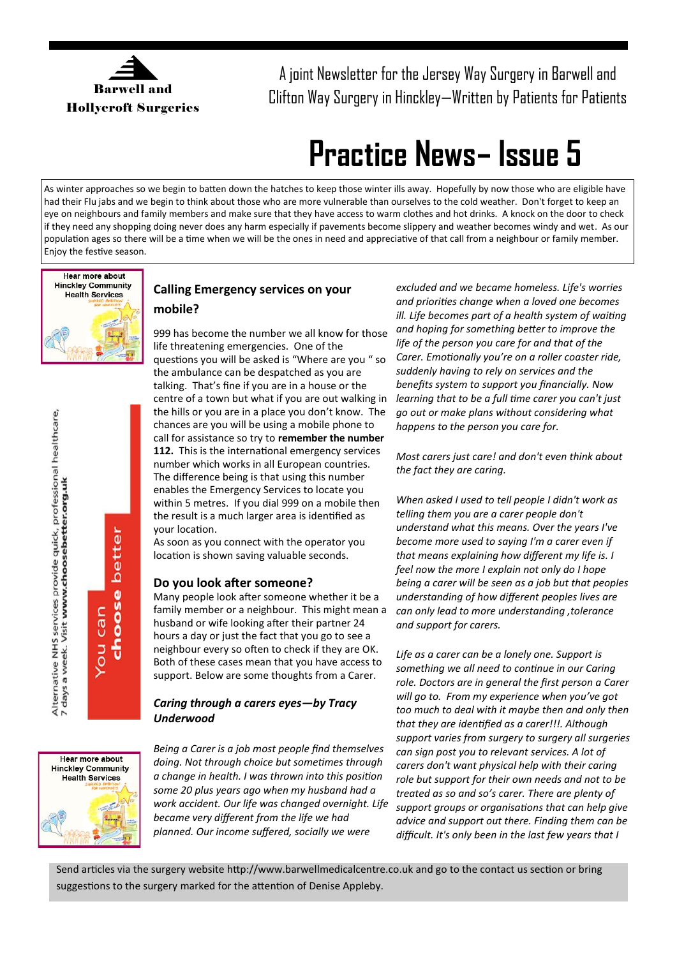

A joint Newsletter for the Jersey Way Surgery in Barwell and Clifton Way Surgery in Hinckley—Written by Patients for Patients

## **Practice News– Issue 5**

As winter approaches so we begin to batten down the hatches to keep those winter ills away. Hopefully by now those who are eligible have had their Flu jabs and we begin to think about those who are more vulnerable than ourselves to the cold weather. Don't forget to keep an eye on neighbours and family members and make sure that they have access to warm clothes and hot drinks. A knock on the door to check if they need any shopping doing never does any harm especially if pavements become slippery and weather becomes windy and wet. As our population ages so there will be a time when we will be the ones in need and appreciative of that call from a neighbour or family member. Enjoy the festive season.



# Alternative NHS services provide quick, professional healthcare,<br>7 days a week. Visit **www.choosebetter.org.uk** better choose can You

### **Calling Emergency services on your mobile?**

999 has become the number we all know for those life threatening emergencies. One of the questions you will be asked is "Where are you " so the ambulance can be despatched as you are talking. That's fine if you are in a house or the centre of a town but what if you are out walking in the hills or you are in a place you don't know. The chances are you will be using a mobile phone to call for assistance so try to **remember the number 112.** This is the international emergency services number which works in all European countries. The difference being is that using this number enables the Emergency Services to locate you within 5 metres. If you dial 999 on a mobile then the result is a much larger area is identified as your location.

As soon as you connect with the operator you location is shown saving valuable seconds.

#### **Do you look after someone?**

Many people look after someone whether it be a family member or a neighbour. This might mean a husband or wife looking after their partner 24 hours a day or just the fact that you go to see a neighbour every so often to check if they are OK. Both of these cases mean that you have access to support. Below are some thoughts from a Carer.

#### *Caring through a carers eyes—by Tracy Underwood*



*Being a Carer is a job most people find themselves doing. Not through choice but sometimes through a change in health. I was thrown into this position some 20 plus years ago when my husband had a work accident. Our life was changed overnight. Life became very different from the life we had planned. Our income suffered, socially we were* 

*excluded and we became homeless. Life's worries and priorities change when a loved one becomes ill. Life becomes part of a health system of waiting and hoping for something better to improve the life of the person you care for and that of the Carer. Emotionally you're on a roller coaster ride, suddenly having to rely on services and the benefits system to support you financially. Now learning that to be a full time carer you can't just go out or make plans without considering what happens to the person you care for.*

*Most carers just care! and don't even think about the fact they are caring.*

*When asked I used to tell people I didn't work as telling them you are a carer people don't understand what this means. Over the years I've become more used to saying I'm a carer even if that means explaining how different my life is. I feel now the more I explain not only do I hope being a carer will be seen as a job but that peoples understanding of how different peoples lives are can only lead to more understanding ,tolerance and support for carers.*

*Life as a carer can be a lonely one. Support is something we all need to continue in our Caring role. Doctors are in general the first person a Carer will go to. From my experience when you've got too much to deal with it maybe then and only then that they are identified as a carer!!!. Although support varies from surgery to surgery all surgeries can sign post you to relevant services. A lot of carers don't want physical help with their caring role but support for their own needs and not to be treated as so and so's carer. There are plenty of support groups or organisations that can help give advice and support out there. Finding them can be difficult. It's only been in the last few years that I* 

Send articles via the surgery website http://www.barwellmedicalcentre.co.uk and go to the contact us section or bring suggestions to the surgery marked for the attention of Denise Appleby.